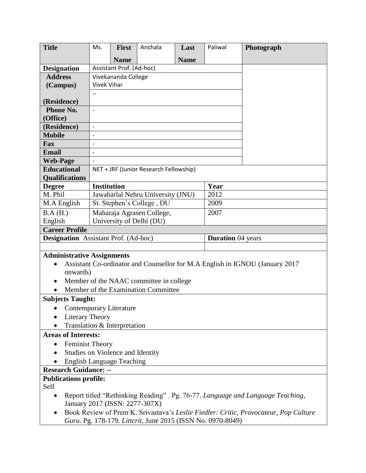| <b>Title</b>                                                                                 | Ms.                                                                                  | <b>First</b> | Anchala                                                     | Last        | Paliwal | Photograph |  |
|----------------------------------------------------------------------------------------------|--------------------------------------------------------------------------------------|--------------|-------------------------------------------------------------|-------------|---------|------------|--|
|                                                                                              |                                                                                      | <b>Name</b>  |                                                             | <b>Name</b> |         |            |  |
| <b>Designation</b>                                                                           | Assistant Prof. (Ad-hoc)                                                             |              |                                                             |             |         |            |  |
| <b>Address</b>                                                                               | Vivekananda College                                                                  |              |                                                             |             |         |            |  |
| (Campus)                                                                                     | <b>Vivek Vihar</b>                                                                   |              |                                                             |             |         |            |  |
|                                                                                              |                                                                                      |              |                                                             |             |         |            |  |
| (Residence)                                                                                  |                                                                                      |              |                                                             |             |         |            |  |
| Phone No.                                                                                    | $\overline{\phantom{m}}$                                                             |              |                                                             |             |         |            |  |
| (Office)                                                                                     |                                                                                      |              |                                                             |             |         |            |  |
| (Residence)                                                                                  | $\overline{\phantom{a}}$                                                             |              |                                                             |             |         |            |  |
| <b>Mobile</b>                                                                                | $\qquad \qquad -$                                                                    |              |                                                             |             |         |            |  |
| Fax                                                                                          |                                                                                      |              |                                                             |             |         |            |  |
| <b>Email</b>                                                                                 |                                                                                      |              |                                                             |             |         |            |  |
| <b>Web-Page</b>                                                                              |                                                                                      |              |                                                             |             |         |            |  |
| <b>Educational</b>                                                                           | NET + JRF (Junior Research Fellowship)                                               |              |                                                             |             |         |            |  |
| <b>Qualifications</b>                                                                        |                                                                                      |              |                                                             |             |         |            |  |
| <b>Degree</b>                                                                                | <b>Institution</b>                                                                   |              |                                                             |             | Year    |            |  |
| M. Phil                                                                                      | Jawaharlal Nehru University (JNU)                                                    |              |                                                             |             | 2012    |            |  |
| M.A English                                                                                  | St. Stephen's College, DU                                                            |              |                                                             |             | 2009    |            |  |
| B.A (H.)                                                                                     | Maharaja Agrasen College,                                                            |              |                                                             |             | 2007    |            |  |
| English<br><b>Career Profile</b>                                                             | University of Delhi (DU)                                                             |              |                                                             |             |         |            |  |
| <b>Designation</b> Assistant Prof. (Ad-hoc)<br><b>Duration</b> 04 years                      |                                                                                      |              |                                                             |             |         |            |  |
|                                                                                              |                                                                                      |              |                                                             |             |         |            |  |
| <b>Administrative Assignments</b>                                                            |                                                                                      |              |                                                             |             |         |            |  |
| Assistant Co-ordinator and Counsellor for M.A English in IGNOU (January 2017)<br>$\bullet$   |                                                                                      |              |                                                             |             |         |            |  |
| onwards)                                                                                     |                                                                                      |              |                                                             |             |         |            |  |
| Member of the NAAC committee in college.                                                     |                                                                                      |              |                                                             |             |         |            |  |
| Member of the Examination Committee                                                          |                                                                                      |              |                                                             |             |         |            |  |
| <b>Subjects Taught:</b>                                                                      |                                                                                      |              |                                                             |             |         |            |  |
| • Contemporary Literature                                                                    |                                                                                      |              |                                                             |             |         |            |  |
|                                                                                              | <b>Literary Theory</b>                                                               |              |                                                             |             |         |            |  |
| Translation & Interpretation                                                                 |                                                                                      |              |                                                             |             |         |            |  |
| <b>Areas of Interests:</b>                                                                   |                                                                                      |              |                                                             |             |         |            |  |
| <b>Feminist Theory</b><br>$\bullet$                                                          |                                                                                      |              |                                                             |             |         |            |  |
| Studies on Violence and Identity                                                             |                                                                                      |              |                                                             |             |         |            |  |
| <b>English Language Teaching</b>                                                             |                                                                                      |              |                                                             |             |         |            |  |
| <b>Research Guidance: --</b>                                                                 |                                                                                      |              |                                                             |             |         |            |  |
| <b>Publications profile:</b><br>Self                                                         |                                                                                      |              |                                                             |             |         |            |  |
| Report titled "Rethinking Reading" . Pg. 76-77. Language and Language Teaching,<br>$\bullet$ |                                                                                      |              |                                                             |             |         |            |  |
|                                                                                              | January 2017 (ISSN: 2277-307X)                                                       |              |                                                             |             |         |            |  |
| $\bullet$                                                                                    | Book Review of Prem K. Srivastava's Leslie Fiedler: Critic, Provocateur, Pop Culture |              |                                                             |             |         |            |  |
|                                                                                              |                                                                                      |              | Guru. Pg. 178-179. Littcrit, June 2015 (ISSN No. 0970-8049) |             |         |            |  |

 $\perp$